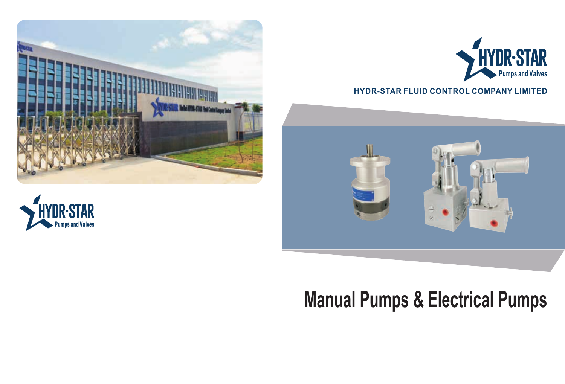# **Manual Pumps & Electrical Pumps**

<sup>03</sup> 1







### **HYDR-STAR FLUID CONTROL COMPANY LIMITED**

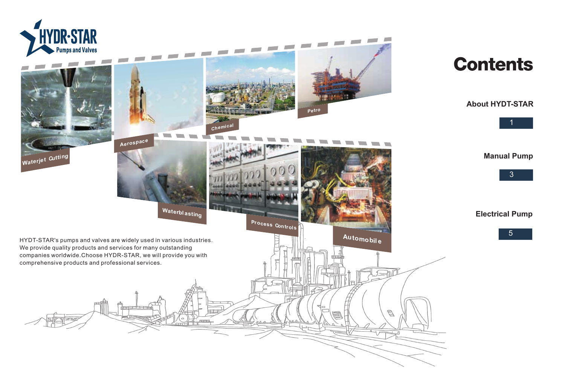**Electrical Pump**





**Manual Pump**



### **About HYDT-STAR**





## **Contents**

 $\overline{\phantom{a}}$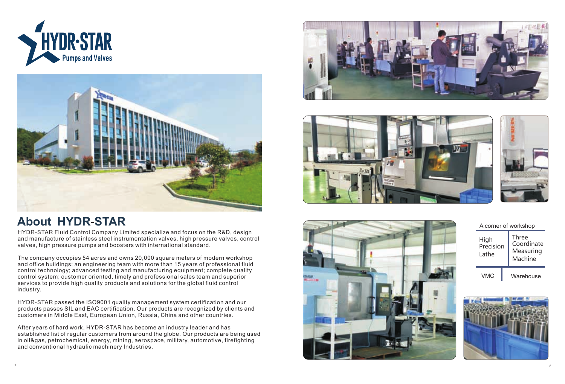



## **About HYDR-STAR**

| A corner of workshop              |                                                    |  |  |  |  |
|-----------------------------------|----------------------------------------------------|--|--|--|--|
| <b>High</b><br>Precision<br>Lathe | <b>Three</b><br>Coordinate<br>Measuring<br>Machine |  |  |  |  |
| <b>VMC</b>                        | Warehouse                                          |  |  |  |  |





HYDR-STAR Fluid Control Company Limited specialize and focus on the R&D, design and manufacture of stainless steel instrumentation valves, high pressure valves, control valves, high pressure pumps and boosters with international standard.

The company occupies 54 acres and owns 20,000 square meters of modern workshop and office buildings; an engineering team with more than 15 years of professional fluid control technology; advanced testing and manufacturing equipment; complete quality control system; customer oriented, timely and professional sales team and superior services to provide high quality products and solutions for the global fluid control industry.

HYDR-STAR passed the ISO9001 quality management system certification and our products passes SIL and EAC certification. Our products are recognized by clients and customers in Middle East, European Union, Russia, China and other countries.

After years of hard work, HYDR-STAR has become an industry leader and has established list of regular customers from around the globe. Our products are being used in oil&gas, petrochemical, energy, mining, aerospace, military, automotive, firefighting and conventional hydraulic machinery Industries.





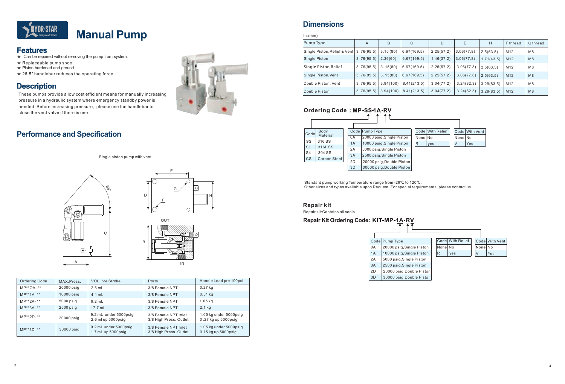- ★ Can be repaired without removing the pump from system.
- ★ Replaceable pump spool.
- ★ Piston hardened and ground.
- ★ 26.5" handlebar reduces the operating force.

These pumps provide a low cost efficient means for manually increasing pressure in a hydraulic system where emergency standby power is needed. Before increasing pressure, please use the handlebar to close the vent valve if there is one.



Standard pump working Temperature range from -29℃ to 120℃. Other sizes and types available upon Request. For special requirements, please contact us.

### **Ordering Code**  $+ 7$

Repair kit:Contains all seals

| in.(mm)                      |            |           |             |            |            |            |                 |          |
|------------------------------|------------|-----------|-------------|------------|------------|------------|-----------------|----------|
| Pump Type                    | A          | B         | C           | D          | E          | H          | F thread        | G thread |
| Single Piston, Relief & Vent | 3.76(95.5) | 3.15(80)  | 6.67(169.5) | 2.25(57.2) | 3.06(77.8) | 2.5(63.5)  | M12             | M8       |
| Single Piston                | 3.76(95.5) | 2.36(60)  | 6.67(169.5) | 1.46(37.2) | 3.06(77.8) | 1.71(43.5) | M <sub>12</sub> | M8       |
| Single Piston, Relief        | 3.76(95.5) | 3.15(80)  | 6.67(169.5) | 2.25(57.2) | 3.06(77.8) | 2.5(63.5)  | M <sub>12</sub> | M8       |
| Single Piston, Vent          | 3.76(95.5) | 3.15(80)  | 6.67(169.5) | 2.25(57.2) | 3.06(77.8) | 2.5(63.5)  | M <sub>12</sub> | M8       |
| Double Piston, Vent          | 3.76(95.5) | 3.94(100) | 8.41(213.5) | 3.04(77.2) | 3.24(82.3) | 3.29(83.5) | M12             | M8       |
| Double Piston                | 3.76(95.5) | 3.94(100) | 8.41(213.5) | 3.04(77.2) | 3.24(82.3) | 3.29(83.5) | M <sub>12</sub> | M8       |



| Codel          | Body                |    | Code Pump Type            |          | Codel With Relief |          | <b>Codel With Vent</b> |
|----------------|---------------------|----|---------------------------|----------|-------------------|----------|------------------------|
|                | Material            | 0A | 20000 psig, Single Piston | Nonel No |                   | Nonel No |                        |
| SS             | 316 SS              | 1A | 10000 psig, Single Piston | R        | yes               | IV       | Yes                    |
| <b>SL</b>      | 316LSS              | 2A | 5000 psig, Single Piston  |          |                   |          |                        |
| S <sub>4</sub> | 304 SS              | 3A | 2500 psig, Single Piston  |          |                   |          |                        |
| <b>CS</b>      | <b>Carbon Steel</b> |    |                           |          |                   |          |                        |
|                |                     | 2D | 20000 psig, Double Piston |          |                   |          |                        |
|                |                     | 3D | 30000 psig, Double Piston |          |                   |          |                        |

| Ordering Code | MAX.Press.   | VOL. pre Stroke                                  | Ports                                          | Handle Load pre 100psi                             |
|---------------|--------------|--------------------------------------------------|------------------------------------------------|----------------------------------------------------|
| $MP**OA-**$   | $20000$ psig | $2.6$ mL                                         | 3/8 Female NPT                                 | $0.27$ kg                                          |
| $MP***1A-*$   | $10000$ psig | $4.1$ mL                                         | 3/8 Female NPT                                 | $0.51$ kg                                          |
| MP**2A- **    | 5000 psig    | $9.2$ mL                                         | 3/8 Female NPT                                 | 1.05 kg                                            |
| $MP***3A-**$  | $2500$ psig  | $17.7$ ml                                        | 3/8 Female NPT                                 | $2.1$ kg                                           |
| MP**2D-**     | 20000 psig   | 9.2 mL under 5000psig<br>2.6 ml up 5000psig      | 3/8 Female NPT Inlet<br>3/8 High Press. Outlet | 1.05 kg under 5000psig<br>0.27 kg up 5000psig      |
| $MP**3D-**$   | 30000 psig   | 9.2 mL under 5000psig<br>$1.7$ mL up $5000$ psig | 3/8 Female NPT Inlet<br>3/8 High Press. Outlet | 1.05 kg under 5000psig<br>$0.15$ kg up $5000$ psig |

Single piston pump with vent







## **Manual Pump**

### **Features**

### **Dimensions**

### **Performance and Specification**



### **Description**

### **Repair kit**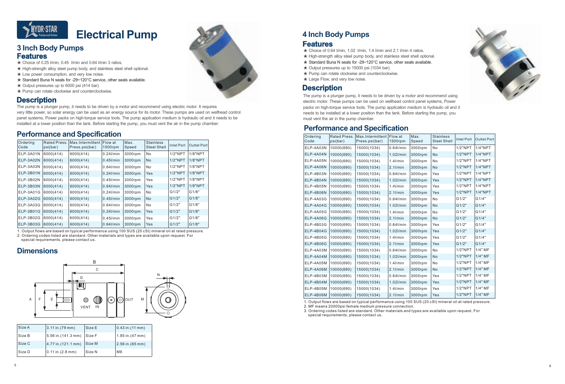

### **3 Inch Body Pumps Features**





## **Features**

- $\star$  Choice of 0.25 I/min, 0.45 I/min and 0.64 I/min 3 ratios.
- $\star$  High-strength alloy steel pump body, and stainless steel shell optional.
- $\star$  Low power consumption, and very low noise.
- **★ Standard Buna N seals for -29~120°C service, other seals available.**
- $\star$  Output pressures up to 6000 psi (414 bar).
- ★ Pump can rotate clockwise and counterclockwise.

### **Dimensions**

### **Performance and Specification**

| Size A | $3.11$ in. (79 mm)  | Size E | (0.43 in.(11 mm))  |
|--------|---------------------|--------|--------------------|
| Size B | 5.56 in. (141.3 mm) | Size F | $1.85$ in.(47 mm)  |
| Size C | 4.77 in. (121.1 mm) | Size M | $2.56$ in. (65 mm) |
| Size D | (0.11 in (2.8 mm))  | Size N | M <sub>8</sub>     |

- $\star$  Choice of 0.64 l/min, 1.02 l/min, 1.4 l/min and 2.1 l/min 4 ratios.
- ★ High-strength alloy steel pump body, and stainless steel shell optional.
- **★ Standard Buna N seals for -29~120°C service, other seals available.**
- ★ Output pressures up to 15000 psi (1034 bar).
- ★ Pump can rotate clockwise and counterclockwise.
- ★ Large Flow, and very low noise.

The pump is a plunger pump, it needs to be driven by a motor and recommend using electric motor. It requires very little power, so solar energy can be used as an energy source for its motor. These pumps are used on wellhead control panel systems, Power packs on high-torque service tools. The pump application medium is hydraulic oil and it needs to be installed at a lower position than the tank. Before starting the pump, you must vent the air in the pump chamber.

### **Description**



| Ordering<br>Code | Rated Press.<br>psi(bar) | Max.Intermittent<br>Press.psi(bar) | Flow at<br>$1500$ rpm | Max.<br>Speed | <b>Stainless</b><br><b>Steel Shell</b> | Inlet Port | Outlet Port |
|------------------|--------------------------|------------------------------------|-----------------------|---------------|----------------------------------------|------------|-------------|
| ELP-3A01N        | 6000(414)                | 6000(414)                          | $0.24$ I/min          | 3000rpm       | No                                     | $1/2$ "NPT | 1/8"NPT     |
| ELP-3A02N        | 6000(414)                | 6000(414)                          | $0.45$ I/min          | 3000rpm       | <b>No</b>                              | $1/2$ "NPT | 1/8"NPT     |
| ELP-3A03N        | 6000(414)                | 6000(414)                          | $0.64$ I/min          | 3000rpm       | No                                     | $1/2$ "NPT | 1/8"NPT     |
| ELP-3B01N        | 6000(414)                | 6000(414)                          | $0.24$ I/min          | 3000rpm       | Yes                                    | $1/2$ "NPT | 1/8"NPT     |
| ELP-3B02N        | 6000(414)                | 6000(414)                          | $0.45$ I/min          | 3000rpm       | Yes                                    | $1/2$ "NPT | 1/8"NPT     |
| ELP-3B03N        | 6000(414)                | 6000(414)                          | $0.64$ I/min          | 3000rpm       | Yes                                    | $1/2$ "NPT | 1/8"NPT     |
| ELP-3A01G        | 6000(414)                | 6000(414)                          | $0.24$ I/min          | 3000rpm       | No                                     | G1/2"      | G1/8"       |
| ELP-3A02G        | 6000(414)                | 6000(414)                          | $0.45$ I/min          | 3000rpm       | <b>No</b>                              | G1/2"      | G1/8"       |
| ELP-3A03G        | 6000(414)                | 6000(414)                          | $0.64$ I/min          | 3000rpm       | No                                     | G1/2"      | G1/8"       |
| ELP-3B01G        | 6000(414)                | 6000(414)                          | $0.24$ I/min          | 3000rpm       | Yes                                    | G1/2"      | G1/8"       |
| ELP-3B02G        | 6000(414)                | 6000(414)                          | $0.45$ I/min          | 3000rpm       | Yes                                    | G1/2"      | G1/8"       |
| ELP-3B03G        | 6000(414)                | 6000(414)                          | $0.64$ I/min          | 3000rpm       | <b>Yes</b>                             | G1/2"      | G1/8"       |

The pump is a plunger pump, it needs to be driven by a motor and recommend using electric motor. These pumps can be used on wellhead control panel systems, Power packs on high-torque service tools. The pump application medium is hydraulic oil and it needs to be installed at a lower position than the tank. Before starting the pump, you must vent the air in the pump chamber.

### **Description**

1. Output flows are based on typical performance using 100 SUS (20 cSt) mineral oil at rated pressure.

2. Ordering codes listed are standard. Other materials and types are available upon request. For special requirements, please contact us.

1. Output flows are based on typical performance using 100 SUS (20 cSt) mineral oil at rated pressure.

2. MF means 20000psi female medium pressure connection .

3. Ordering codes listed are standard. Other materials and types are available upon request. For special requirements, please contact us.

### **Performance and Specification**

| Ordering<br>Code | Rated Press.<br>psi(bar) | Max.Intermittent<br>Press.psi(bar) | Flow at<br>1500rpm | Max.<br>Speed | <b>Stainless</b><br><b>Steel Shell</b> | <b>Inlet Port</b> | <b>Outlet Port</b> |
|------------------|--------------------------|------------------------------------|--------------------|---------------|----------------------------------------|-------------------|--------------------|
| ELP-4A03N        | 10000(690)               | 15000(1034)                        | $0.64$ I/min       | 3000rpm       | No                                     | $1/2$ "NPT        | $1/4$ "NPT         |
| ELP-4A04N        | 10000(690)               | 15000(1034)                        | 1.02l/min          | 3000rpm       | No                                     | $1/2$ "NPT        | $1/4$ "NPT         |
| ELP-4A05N        | 10000(690)               | 15000(1034)                        | $1.4$ I/min        | 3000rpm       | No                                     | $1/2$ "NPT        | $1/4$ "NPT         |
| <b>ELP-4A06N</b> | 10000(690)               | 15000(1034)                        | $2.1$ l/min        | 3000rpm       | <b>No</b>                              | $1/2$ "NPT        | $1/4$ "NPT         |
| ELP-4B03N        | 10000(690)               | 15000(1034)                        | $0.64$ l/min       | 3000rpm       | Yes                                    | $1/2$ "NPT        | $1/4$ "NPT         |
| ELP-4B04N        | 10000(690)               | 15000(1034)                        | 1.02l/min          | 3000rpm       | Yes                                    | $1/2$ "NPT        | $1/4$ "NPT         |
| <b>ELP-4B05N</b> | 10000(690)               | 15000(1034)                        | $1.4$ I/min        | 3000rpm       | Yes                                    | $1/2$ "NPT        | $1/4$ "NPT         |
| <b>ELP-4B06N</b> | 10000(690)               | 15000(1034)                        | $2.1$ l/min        | 3000rpm       | Yes                                    | $1/2$ "NPT        | 1/4"NPT            |
| ELP-4A03G        | 10000(690)               | 15000(1034)                        | $0.64$ l/min       | 3000rpm       | No                                     | G1/2"             | G1/4"              |
| ELP-4A04G        | 10000(690)               | 15000(1034)                        | 1.02l/min          | 3000rpm       | <b>No</b>                              | G1/2"             | G1/4"              |
| <b>ELP-4A05G</b> | 10000(690)               | 15000(1034)                        | $1.4$ l/min        | 3000rpm       | <b>No</b>                              | G1/2"             | G1/4"              |
| <b>ELP-4A06G</b> | 10000(690)               | 15000(1034)                        | $2.1$ l/min        | 3000rpm       | <b>No</b>                              | G1/2"             | G1/4"              |
| ELP-4B03G        | 10000(690)               | 15000(1034)                        | $0.64$ l/min       | 3000rpm       | Yes                                    | G1/2"             | G1/4"              |
| <b>ELP-4B04G</b> | 10000(690)               | 15000(1034)                        | 1.02l/min          | 3000rpm       | Yes                                    | G1/2"             | G1/4"              |
| <b>ELP-4B05G</b> | 10000(690)               | 15000(1034)                        | $1.4$ I/min        | 3000rpm       | Yes                                    | G1/2"             | G1/4"              |
| <b>ELP-4B06G</b> | 10000(690)               | 15000(1034)                        | $2.1$ l/min        | 3000rpm       | Yes                                    | G1/2"             | G1/4"              |
| ELP-4A03M        | 10000(690)               | 15000(1034)                        | $0.64$ l/min       | 3000rpm       | No                                     | $1/2$ "NPT        | $1/4"$ MF          |
| ELP-4A04M        | 10000(690)               | 15000(1034)                        | 1.02l/min          | 3000rpm       | No                                     | $1/2$ "NPT        | $1/4"$ MF          |
| ELP-4A05M        | 10000(690)               | 15000(1034)                        | $1.4$ I/min        | 3000rpm       | No                                     | $1/2$ "NPT        | $1/4"$ MF          |
| ELP-4A06M        | 10000(690)               | 15000(1034)                        | $2.1$ l/min        | 3000rpm       | <b>No</b>                              | $1/2$ "NPT        | 1/4" MF            |
| ELP-4B03M        | 10000(690)               | 15000(1034)                        | $0.64$ l/min       | 3000rpm       | Yes                                    | $1/2$ "NPT        | $1/4"$ MF          |
| ELP-4B04M        | 10000(690)               | 15000(1034)                        | 1.02l/min          | 3000rpm       | Yes                                    | $1/2$ "NPT        | 1/4" MF            |
| <b>ELP-4B05M</b> | 10000(690)               | 15000(1034)                        | $1.4$ l/min        | 3000rpm       | Yes                                    | $1/2$ "NPT        | 1/4" MF            |
| <b>ELP-4B06M</b> | 10000(690)               | 15000(1034)                        | $2.1$ l/min        | 3000rpm       | Yes                                    | $1/2$ "NPT        | 1/4" MF            |